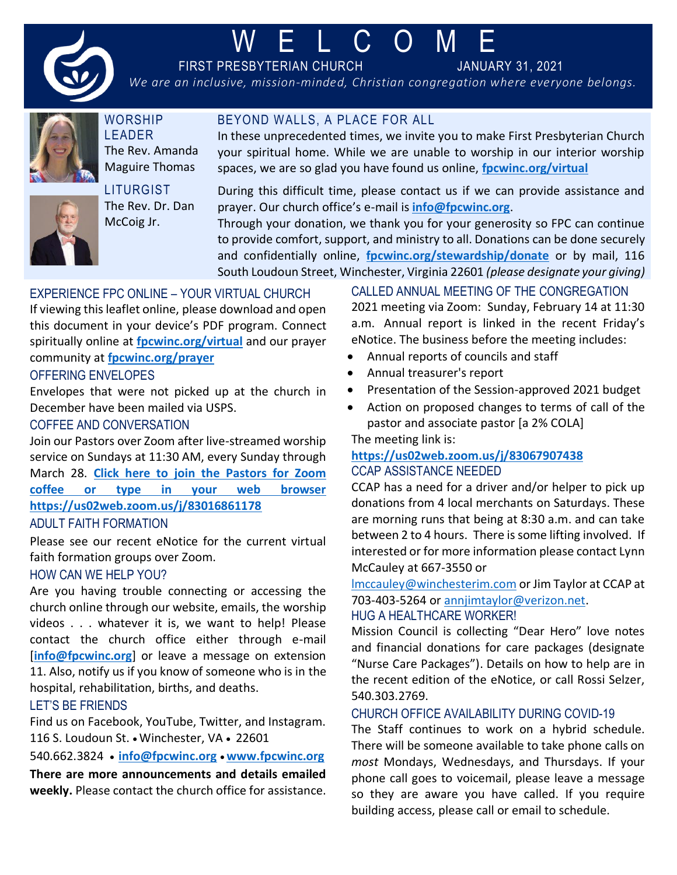

# W E L C O M E

FIRST PRESBYTERIAN CHURCH JANUARY 31, 2021

*We are an inclusive, mission-minded, Christian congregation where everyone belongs.*



**WORSHIP** LEADER The Rev. Amanda Maguire Thomas



**LITURGIST** The Rev. Dr. Dan McCoig Jr.

BEYOND WALLS, A PLACE FOR ALL

In these unprecedented times, we invite you to make First Presbyterian Church your spiritual home. While we are unable to worship in our interior worship spaces, we are so glad you have found us online, **[fpcwinc.org/virtual](https://www.fpcwinc.org/virtual)**

During this difficult time, please contact us if we can provide assistance and prayer. Our church office's e-mail is **[info@fpcwinc.org](mailto:info@fpcwinc.org)**.

Through your donation, we thank you for your generosity so FPC can continue to provide comfort, support, and ministry to all. Donations can be done securely and confidentially online, **[fpcwinc.org/stewardship/donate](https://www.fpcwinc.org/stewardship/donate)** or by mail, 116 South Loudoun Street, Winchester, Virginia 22601 *(please designate your giving)*

### EXPERIENCE FPC ONLINE – YOUR VIRTUAL CHURCH

If viewing this leaflet online, please download and open this document in your device's PDF program. Connect spiritually online at **[fpcwinc.org/virtual](https://www.fpcwinc.org/virtual)** and our prayer community at **[fpcwinc.org/prayer](https://fpcwinc.org/ministries/prayer/)**

#### OFFERING ENVELOPES

Envelopes that were not picked up at the church in December have been mailed via USPS.

#### COFFEE AND CONVERSATION

Join our Pastors over Zoom after live-streamed worship service on Sundays at 11:30 AM, every Sunday through March 28. **[Click here to join the Pastors for Zoom](https://us02web.zoom.us/j/83016861178)  [coffee or type in your web browser](https://us02web.zoom.us/j/83016861178)  <https://us02web.zoom.us/j/83016861178>**

#### ADULT FAITH FORMATION

Please see our recent eNotice for the current virtual faith formation groups over Zoom.

#### HOW CAN WE HELP YOU?

Are you having trouble connecting or accessing the church online through our website, emails, the worship videos . . . whatever it is, we want to help! Please contact the church office either through e-mail [[info@fpcwinc.org](mailto:info@fpcwinc.org)] or leave a message on extension 11. Also, notify us if you know of someone who is in the hospital, rehabilitation, births, and deaths.

#### LET'S BE FRIENDS

Find us on Facebook, YouTube, Twitter, and Instagram. 116 S. Loudoun St. • Winchester, VA • 22601

540.662.3824 • **[info@fpcwinc.org](mailto:info@fpcwinc.org)** • **[www.fpcwinc.org](http://www.fpcwinc.org/) There are more announcements and details emailed weekly.** Please contact the church office for assistance. CALLED ANNUAL MEETING OF THE CONGREGATION

2021 meeting via Zoom: Sunday, February 14 at 11:30 a.m. Annual report is linked in the recent Friday's eNotice. The business before the meeting includes:

- Annual reports of councils and staff
- Annual treasurer's report
- Presentation of the Session-approved 2021 budget
- Action on proposed changes to terms of call of the pastor and associate pastor [a 2% COLA]

The meeting link is:

#### **<https://us02web.zoom.us/j/83067907438>** CCAP ASSISTANCE NEEDED

CCAP has a need for a driver and/or helper to pick up donations from 4 local merchants on Saturdays. These are morning runs that being at 8:30 a.m. and can take between 2 to 4 hours. There is some lifting involved. If interested or for more information please contact Lynn McCauley at 667-3550 or

[lmccauley@winchesterim.com](mailto:lmccauley@winchesterim.com) or Jim Taylor at CCAP at 703-403-5264 or [annjimtaylor@verizon.net.](mailto:annjimtaylor@verizon.net)

#### HUG A HEALTHCARE WORKER!

Mission Council is collecting "Dear Hero" love notes and financial donations for care packages (designate "Nurse Care Packages"). Details on how to help are in the recent edition of the eNotice, or call Rossi Selzer, 540.303.2769.

#### CHURCH OFFICE AVAILABILITY DURING COVID-19

The Staff continues to work on a hybrid schedule. There will be someone available to take phone calls on *most* Mondays, Wednesdays, and Thursdays. If your phone call goes to voicemail, please leave a message so they are aware you have called. If you require building access, please call or email to schedule.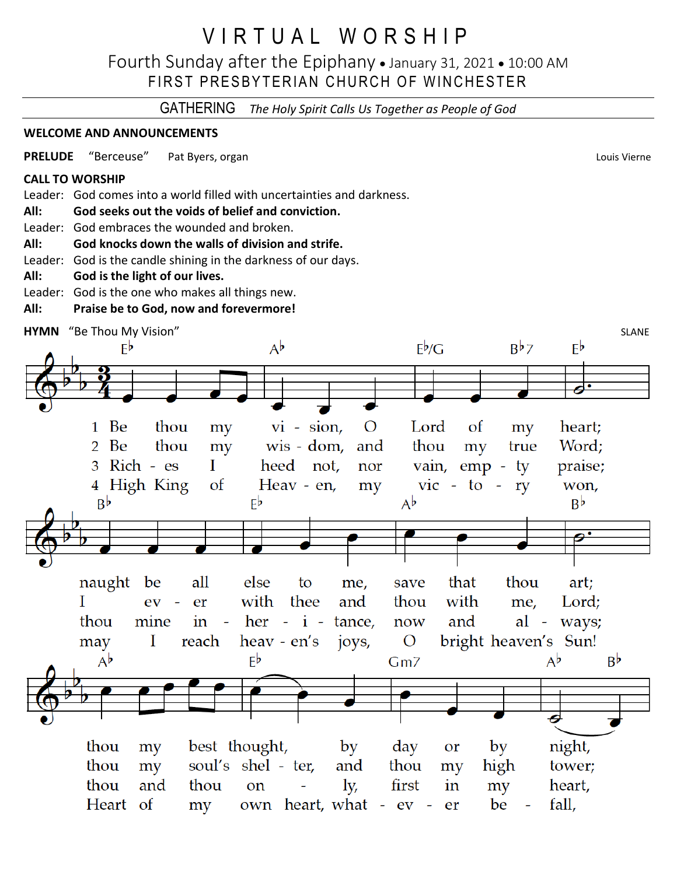# V I R T U A L W O R S H I P

## Fourth Sunday after the Epiphany • January 31, 2021 • 10:00 AM FIRST PRESBYTERIAN CHURCH OF WINCHESTER

GATHERING *The Holy Spirit Calls Us Together as People of God*

#### **WELCOME AND ANNOUNCEMENTS**

PRELUDE "Berceuse" Pat Byers, organ Louis Vierne Louis Vierne Louis Vierne

#### **CALL TO WORSHIP**

Leader: God comes into a world filled with uncertainties and darkness.

#### **All: God seeks out the voids of belief and conviction.**

- Leader: God embraces the wounded and broken.
- **All: God knocks down the walls of division and strife.**
- Leader: God is the candle shining in the darkness of our days.

#### **All: God is the light of our lives.**

Leader: God is the one who makes all things new.

**All: Praise be to God, now and forevermore!**

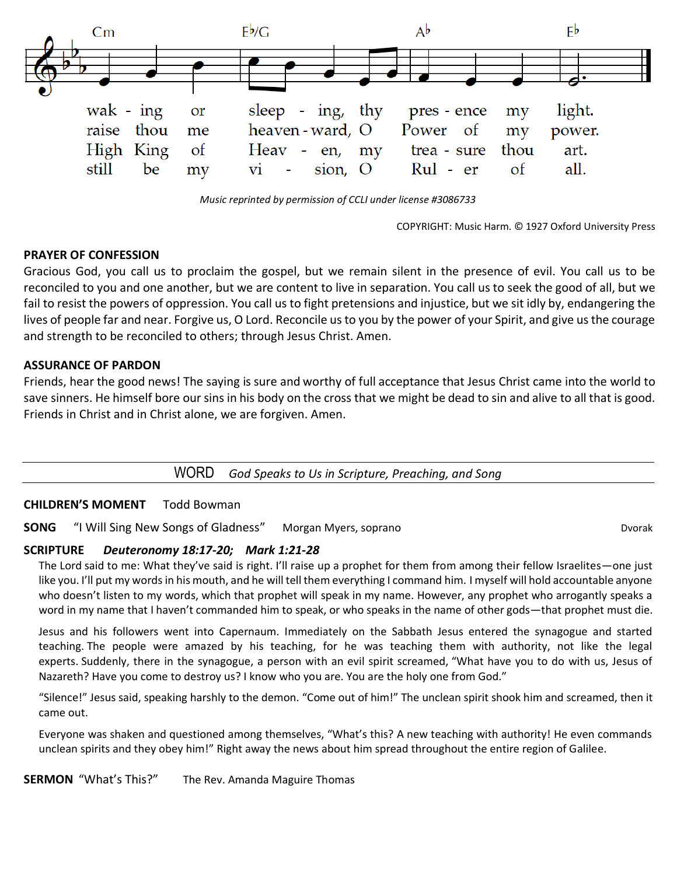

*Music reprinted by permission of CCLI under license #3086733*

COPYRIGHT: Music Harm. © 1927 Oxford University Press

#### **PRAYER OF CONFESSION**

Gracious God, you call us to proclaim the gospel, but we remain silent in the presence of evil. You call us to be reconciled to you and one another, but we are content to live in separation. You call us to seek the good of all, but we fail to resist the powers of oppression. You call us to fight pretensions and injustice, but we sit idly by, endangering the lives of people far and near. Forgive us, O Lord. Reconcile us to you by the power of your Spirit, and give us the courage and strength to be reconciled to others; through Jesus Christ. Amen.

#### **ASSURANCE OF PARDON**

Friends, hear the good news! The saying is sure and worthy of full acceptance that Jesus Christ came into the world to save sinners. He himself bore our sins in his body on the cross that we might be dead to sin and alive to all that is good. Friends in Christ and in Christ alone, we are forgiven. Amen.

WORD *God Speaks to Us in Scripture, Preaching, and Song*

#### **CHILDREN'S MOMENT** Todd Bowman

**SONG** "I Will Sing New Songs of Gladness" Morgan Myers, soprano **Disk Constant Constant Constant Constant** Dvorak

#### **SCRIPTURE** *Deuteronomy 18:17-20; Mark 1:21-28*

The Lord said to me: What they've said is right. I'll raise up a prophet for them from among their fellow Israelites—one just like you. I'll put my words in his mouth, and he will tell them everything I command him. I myself will hold accountable anyone who doesn't listen to my words, which that prophet will speak in my name. However, any prophet who arrogantly speaks a word in my name that I haven't commanded him to speak, or who speaks in the name of other gods—that prophet must die.

Jesus and his followers went into Capernaum. Immediately on the Sabbath Jesus entered the synagogue and started teaching. The people were amazed by his teaching, for he was teaching them with authority, not like the legal experts. Suddenly, there in the synagogue, a person with an evil spirit screamed, "What have you to do with us, Jesus of Nazareth? Have you come to destroy us? I know who you are. You are the holy one from God."

"Silence!" Jesus said, speaking harshly to the demon. "Come out of him!" The unclean spirit shook him and screamed, then it came out.

Everyone was shaken and questioned among themselves, "What's this? A new teaching with authority! He even commands unclean spirits and they obey him!" Right away the news about him spread throughout the entire region of Galilee.

**SERMON** "What's This?" The Rev. Amanda Maguire Thomas